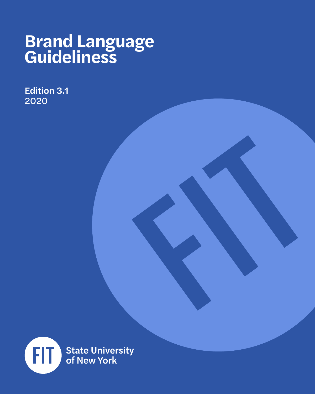### **Brand Language Guideliness**

Edition 3.1 2020

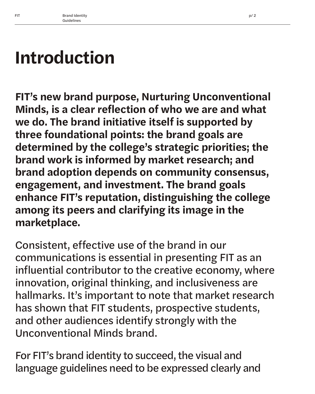## **Introduction**

**FIT's new brand purpose, Nurturing Unconventional Minds, is a clear reflection of who we are and what we do. The brand initiative itself is supported by three foundational points: the brand goals are determined by the college's strategic priorities; the brand work is informed by market research; and brand adoption depends on community consensus, engagement, and investment. The brand goals enhance FIT's reputation, distinguishing the college among its peers and clarifying its image in the marketplace.** 

Consistent, effective use of the brand in our communications is essential in presenting FIT as an influential contributor to the creative economy, where innovation, original thinking, and inclusiveness are hallmarks. It's important to note that market research has shown that FIT students, prospective students, and other audiences identify strongly with the Unconventional Minds brand.

For FIT's brand identity to succeed, the visual and language guidelines need to be expressed clearly and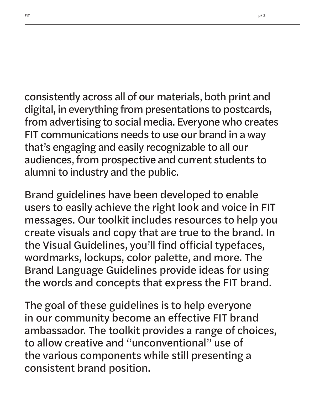consistently across all of our materials, both print and digital, in everything from presentations to postcards, from advertising to social media. Everyone who creates FIT communications needs to use our brand in a way that's engaging and easily recognizable to all our audiences, from prospective and current students to alumni to industry and the public.

Brand guidelines have been developed to enable users to easily achieve the right look and voice in FIT messages. Our toolkit includes resources to help you create visuals and copy that are true to the brand. In the Visual Guidelines, you'll find official typefaces, wordmarks, lockups, color palette, and more. The Brand Language Guidelines provide ideas for using the words and concepts that express the FIT brand.

The goal of these guidelines is to help everyone in our community become an effective FIT brand ambassador. The toolkit provides a range of choices, to allow creative and "unconventional" use of the various components while still presenting a consistent brand position.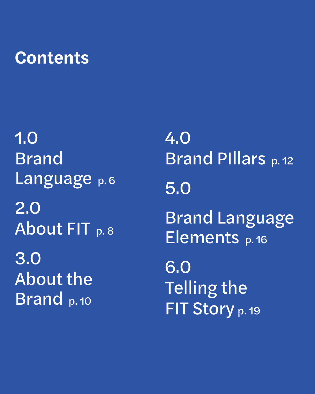### **Contents**

1.0 Brand Language p.6 2.0 About FIT p. 8 3.0 About the Brand p.10

4.0 Brand PIllars p. 12 5.0 Brand Language Elements p. 16 6.0 Telling the FIT Story p. 19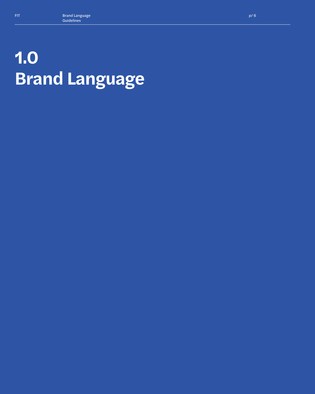# **1.0 Brand Language**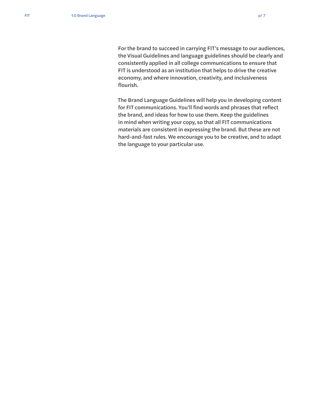For the brand to succeed in carrying FIT's message to our audiences, the Visual Guidelines and language guidelines should be clearly and consistently applied in all college communications to ensure that FIT is understood as an institution that helps to drive the creative economy, and where innovation, creativity, and inclusiveness flourish.

The Brand Language Guidelines will help you in developing content for FIT communications. You'll find words and phrases that reflect the brand, and ideas for how to use them. Keep the guidelines in mind when writing your copy, so that all FIT communications materials are consistent in expressing the brand. But these are not hard-and-fast rules. We encourage you to be creative, and to adapt the language to your particular use.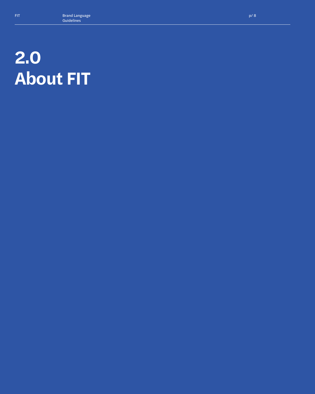## **2.0 About FIT**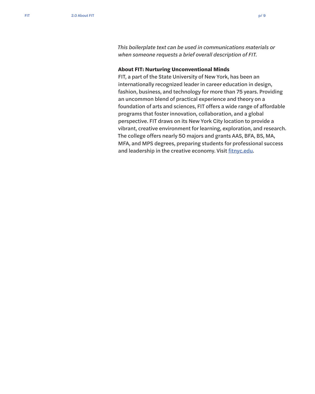*This boilerplate text can be used in communications materials or when someone requests a brief overall description of FIT.*

#### **About FIT: Nurturing Unconventional Minds**

FIT, a part of the State University of New York, has been an internationally recognized leader in career education in design, fashion, business, and technology for more than 75 years. Providing an uncommon blend of practical experience and theory on a foundation of arts and sciences, FIT offers a wide range of affordable programs that foster innovation, collaboration, and a global perspective. FIT draws on its New York City location to provide a vibrant, creative environment for learning, exploration, and research. The college offers nearly 50 majors and grants AAS, BFA, BS, MA, MFA, and MPS degrees, preparing students for professional success and leadership in the creative economy. Visit [fitnyc.edu](http://www.fitnyc.edu/).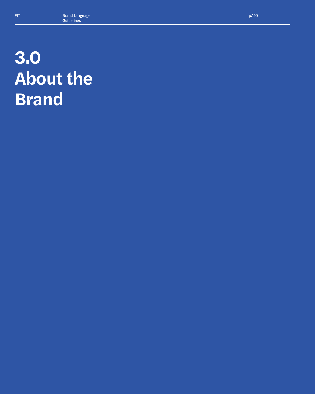## **3.0 About the Brand**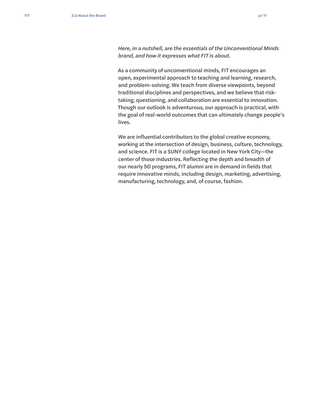*Here, in a nutshell, are the essentials of the Unconventional Minds brand, and how it expresses what FIT is about.*

As a community of unconventional minds, FIT encourages an open, experimental approach to teaching and learning, research, and problem-solving. We teach from diverse viewpoints, beyond traditional disciplines and perspectives, and we believe that risktaking, questioning, and collaboration are essential to innovation. Though our outlook is adventurous, our approach is practical, with the goal of real-world outcomes that can ultimately change people's lives.

We are influential contributors to the global creative economy, working at the intersection of design, business, culture, technology, and science. FIT is a SUNY college located in New York City—the center of those industries. Reflecting the depth and breadth of our nearly 50 programs, FIT alumni are in demand in fields that require innovative minds, including design, marketing, advertising, manufacturing, technology, and, of course, fashion.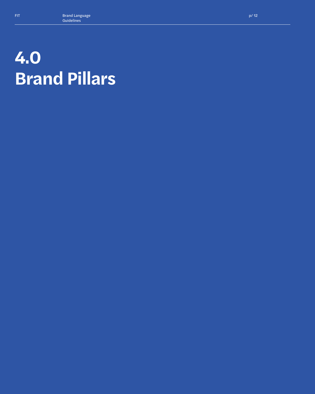## **4.0 Brand Pillars**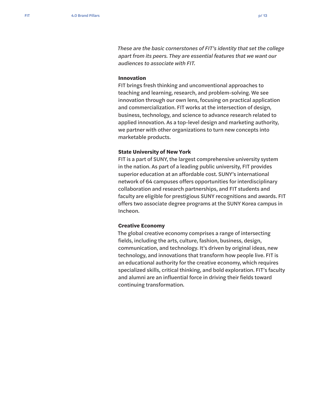*These are the basic cornerstones of FIT's identity that set the college apart from its peers. They are essential features that we want our audiences to associate with FIT.* 

#### **Innovation**

FIT brings fresh thinking and unconventional approaches to teaching and learning, research, and problem-solving. We see innovation through our own lens, focusing on practical application and commercialization. FIT works at the intersection of design, business, technology, and science to advance research related to applied innovation. As a top-level design and marketing authority, we partner with other organizations to turn new concepts into marketable products.

#### **State University of New York**

FIT is a part of SUNY, the largest comprehensive university system in the nation. As part of a leading public university, FIT provides superior education at an affordable cost. SUNY's international network of 64 campuses offers opportunities for interdisciplinary collaboration and research partnerships, and FIT students and faculty are eligible for prestigious SUNY recognitions and awards. FIT offers two associate degree programs at the SUNY Korea campus in Incheon.

#### **Creative Economy**

The global creative economy comprises a range of intersecting fields, including the arts, culture, fashion, business, design, communication, and technology. It's driven by original ideas, new technology, and innovations that transform how people live. FIT is an educational authority for the creative economy, which requires specialized skills, critical thinking, and bold exploration. FIT's faculty and alumni are an influential force in driving their fields toward continuing transformation.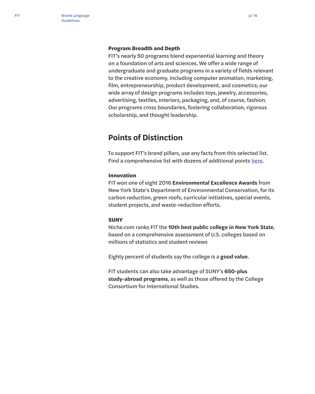#### **Program Breadth and Depth**

FIT's nearly 50 programs blend experiential learning and theory on a foundation of arts and sciences. We offer a wide range of undergraduate and graduate programs in a variety of fields relevant to the creative economy, including computer animation, marketing, film, entrepreneurship, product development, and cosmetics; our wide array of design programs includes toys, jewelry, accessories, advertising, textiles, interiors, packaging, and, of course, fashion. Our programs cross boundaries, fostering collaboration, rigorous scholarship, and thought leadership.

### **Points of Distinction**

To support FIT's brand pillars, use any facts from this selected list. Find a comprehensive list with dozens of additional points [here](https://www.fitnyc.edu/cer/toolkit/assets/distinction.php).

#### **Innovation**

FIT won one of eight 2016 **Environmental Excellence Awards** from New York State's Department of Environmental Conservation, for its carbon reduction, green roofs, curricular initiatives, special events, student projects, and waste-reduction efforts.

#### **SUNY**

Niche.com ranks FIT the **10th best public college in New York State**, based on a comprehensive assessment of U.S. colleges based on millions of statistics and student reviews

Eighty percent of students say the college is a **good value**.

FIT students can also take advantage of SUNY's **650-plus study-abroad programs**, as well as those offered by the College Consortium for International Studies.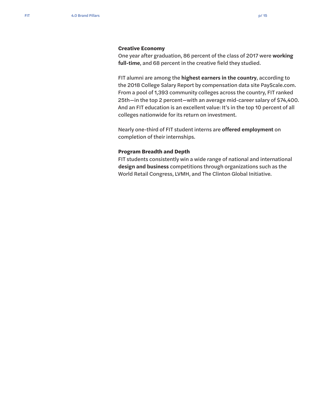#### **Creative Economy**

One year after graduation, 86 percent of the class of 2017 were **working full-time**, and 68 percent in the creative field they studied.

FIT alumni are among the **highest earners in the country**, according to the 2018 College Salary Report by compensation data site PayScale.com. From a pool of 1,393 community colleges across the country, FIT ranked 25th—in the top 2 percent—with an average mid-career salary of \$74,400. And an FIT education is an excellent value: It's in the top 10 percent of all colleges nationwide for its return on investment.

Nearly one-third of FIT student interns are **offered employment** on completion of their internships.

#### **Program Breadth and Depth**

FIT students consistently win a wide range of national and international **design and business** competitions through organizations such as the World Retail Congress, LVMH, and The Clinton Global Initiative.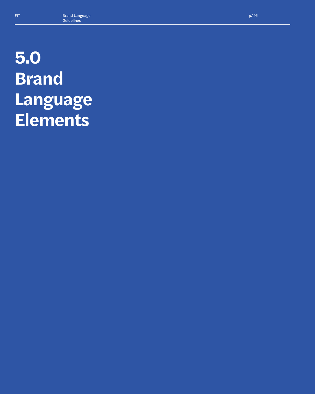# **5.0 Brand Language Elements**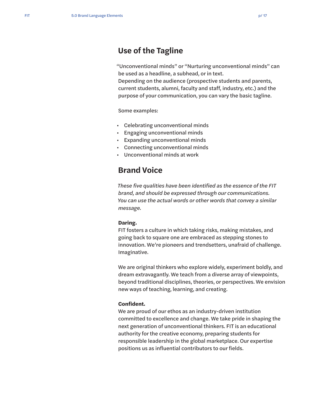### **Use of the Tagline**

"Unconventional minds" or "Nurturing unconventional minds" can be used as a headline, a subhead, or in text.

Depending on the audience (prospective students and parents, current students, alumni, faculty and staff, industry, etc.) and the purpose of your communication, you can vary the basic tagline.

Some examples:

- Celebrating unconventional minds
- Engaging unconventional minds
- Expanding unconventional minds
- Connecting unconventional minds
- Unconventional minds at work

### **Brand Voice**

*These five qualities have been identified as the essence of the FIT brand, and should be expressed through our communications. You can use the actual words or other words that convey a similar message.*

#### **Daring.**

FIT fosters a culture in which taking risks, making mistakes, and going back to square one are embraced as stepping stones to innovation. We're pioneers and trendsetters, unafraid of challenge. Imaginative.

We are original thinkers who explore widely, experiment boldly, and dream extravagantly. We teach from a diverse array of viewpoints, beyond traditional disciplines, theories, or perspectives. We envision new ways of teaching, learning, and creating.

#### **Confident.**

We are proud of our ethos as an industry-driven institution committed to excellence and change. We take pride in shaping the next generation of unconventional thinkers. FIT is an educational authority for the creative economy, preparing students for responsible leadership in the global marketplace. Our expertise positions us as influential contributors to our fields.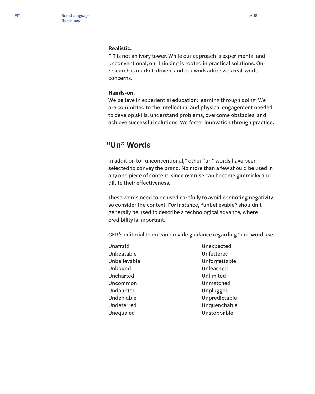#### **Realistic.**

FIT is not an ivory tower. While our approach is experimental and unconventional, our thinking is rooted in practical solutions. Our research is market-driven, and our work addresses real-world concerns.

#### **Hands-on.**

We believe in experiential education: learning through doing. We are committed to the intellectual and physical engagement needed to develop skills, understand problems, overcome obstacles, and achieve successful solutions. We foster innovation through practice.

### **"Un" Words**

In addition to "unconventional," other "un" words have been selected to convey the brand. No more than a few should be used in any one piece of content, since overuse can become gimmicky and dilute their effectiveness.

These words need to be used carefully to avoid connoting negativity, so consider the context. For instance, "unbelievable" shouldn't generally be used to describe a technological advance, where credibility is important.

CER's editorial team can provide guidance regarding "un" word use.

- Unafraid Unbeatable Unbelievable Unbound Uncharted Uncommon Undaunted Undeniable Undeterred Unequaled
- Unexpected Unfettered Unforgettable Unleashed Unlimited Unmatched Unplugged Unpredictable Unquenchable Unstoppable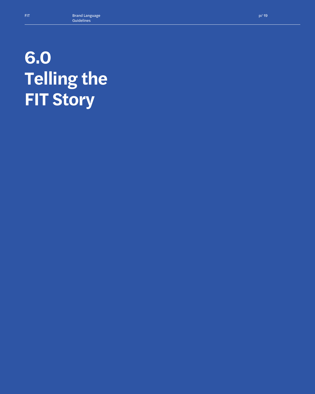# **6.0 Telling the FIT Story**